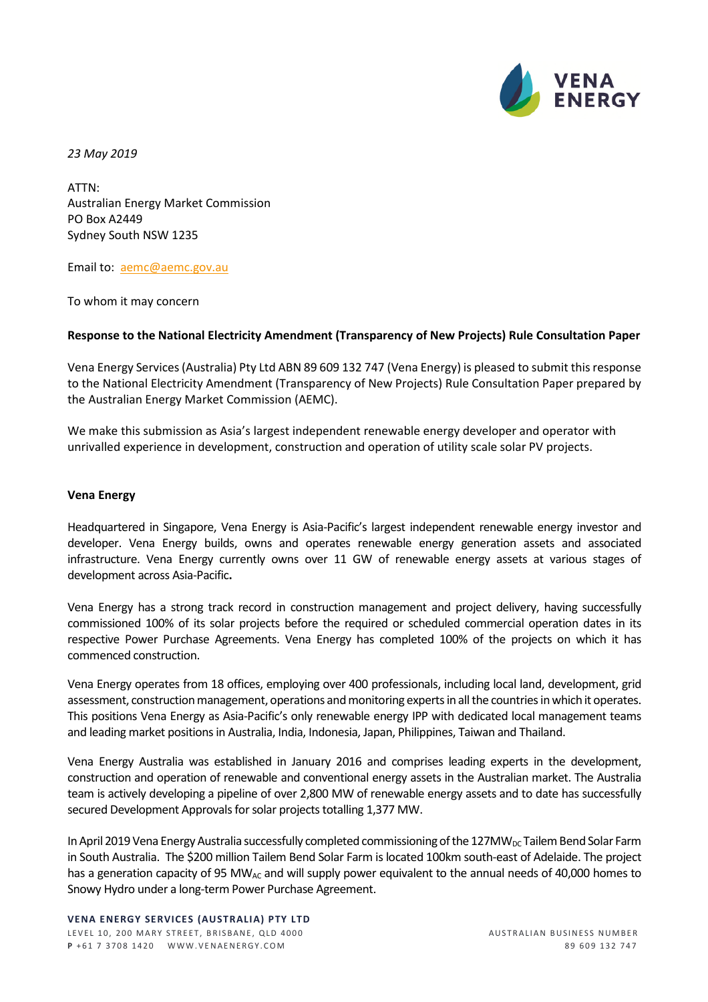

*23 May 2019* 

ATTN: Australian Energy Market Commission PO Box A2449 Sydney South NSW 1235

Email to: [aemc@aemc.gov.au](mailto:aemc@aemc.gov.au)

To whom it may concern

## **Response to the National Electricity Amendment (Transparency of New Projects) Rule Consultation Paper**

Vena Energy Services (Australia) Pty Ltd ABN 89 609 132 747 (Vena Energy) is pleased to submit this response to the National Electricity Amendment (Transparency of New Projects) Rule Consultation Paper prepared by the Australian Energy Market Commission (AEMC).

We make this submission as Asia's largest independent renewable energy developer and operator with unrivalled experience in development, construction and operation of utility scale solar PV projects.

# **Vena Energy**

Headquartered in Singapore, Vena Energy is Asia-Pacific's largest independent renewable energy investor and developer. Vena Energy builds, owns and operates renewable energy generation assets and associated infrastructure. Vena Energy currently owns over 11 GW of renewable energy assets at various stages of development across Asia-Pacific**.** 

Vena Energy has a strong track record in construction management and project delivery, having successfully commissioned 100% of its solar projects before the required or scheduled commercial operation dates in its respective Power Purchase Agreements. Vena Energy has completed 100% of the projects on which it has commenced construction.

Vena Energy operates from 18 offices, employing over 400 professionals, including local land, development, grid assessment, construction management, operations and monitoring experts in all the countries in which it operates. This positions Vena Energy as Asia-Pacific's only renewable energy IPP with dedicated local management teams and leading market positions in Australia, India, Indonesia, Japan, Philippines, Taiwan and Thailand.

Vena Energy Australia was established in January 2016 and comprises leading experts in the development, construction and operation of renewable and conventional energy assets in the Australian market. The Australia team is actively developing a pipeline of over 2,800 MW of renewable energy assets and to date has successfully secured Development Approvals for solar projects totalling 1,377 MW.

In April 2019 Vena Energy Australia successfully completed commissioning of the 127MW<sub>DC</sub> Tailem Bend Solar Farm in South Australia. The \$200 million Tailem Bend Solar Farm is located 100km south-east of Adelaide. The project has a generation capacity of 95 MW<sub>AC</sub> and will supply power equivalent to the annual needs of 40,000 homes to Snowy Hydro under a long-term Power Purchase Agreement.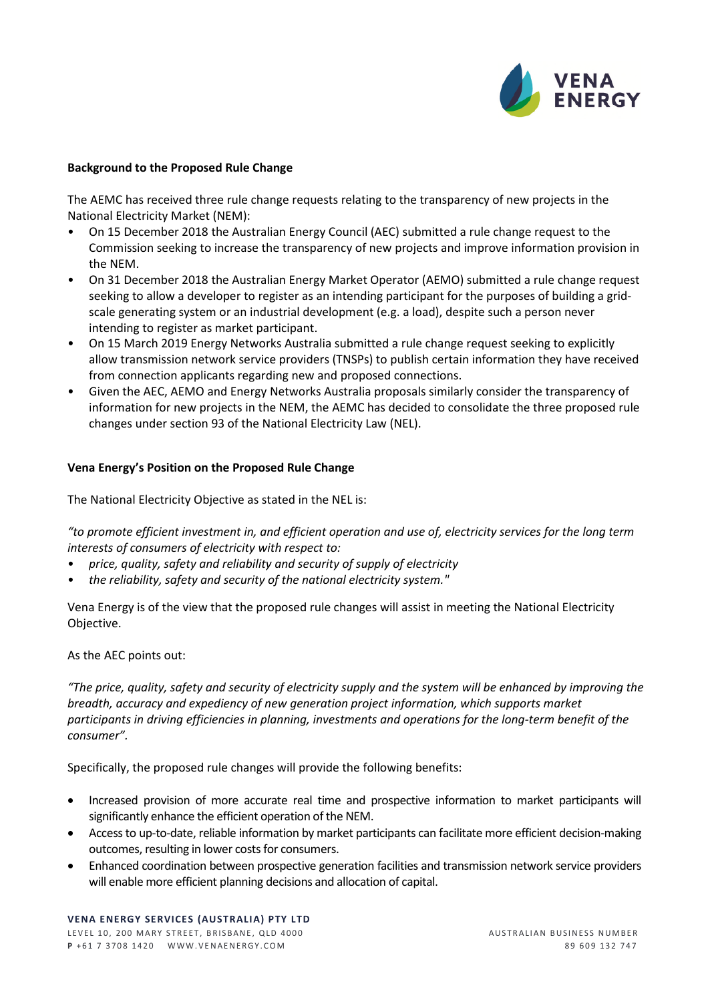

## **Background to the Proposed Rule Change**

The AEMC has received three rule change requests relating to the transparency of new projects in the National Electricity Market (NEM):

- On 15 December 2018 the Australian Energy Council (AEC) submitted a rule change request to the Commission seeking to increase the transparency of new projects and improve information provision in the NEM.
- On 31 December 2018 the Australian Energy Market Operator (AEMO) submitted a rule change request seeking to allow a developer to register as an intending participant for the purposes of building a gridscale generating system or an industrial development (e.g. a load), despite such a person never intending to register as market participant.
- On 15 March 2019 Energy Networks Australia submitted a rule change request seeking to explicitly allow transmission network service providers (TNSPs) to publish certain information they have received from connection applicants regarding new and proposed connections.
- Given the AEC, AEMO and Energy Networks Australia proposals similarly consider the transparency of information for new projects in the NEM, the AEMC has decided to consolidate the three proposed rule changes under section 93 of the National Electricity Law (NEL).

### **Vena Energy's Position on the Proposed Rule Change**

The National Electricity Objective as stated in the NEL is:

*"to promote efficient investment in, and efficient operation and use of, electricity services for the long term interests of consumers of electricity with respect to:* 

- *price, quality, safety and reliability and security of supply of electricity*
- *the reliability, safety and security of the national electricity system."*

Vena Energy is of the view that the proposed rule changes will assist in meeting the National Electricity Objective.

## As the AEC points out:

*"The price, quality, safety and security of electricity supply and the system will be enhanced by improving the breadth, accuracy and expediency of new generation project information, which supports market participants in driving efficiencies in planning, investments and operations for the long-term benefit of the consumer".* 

Specifically, the proposed rule changes will provide the following benefits:

- Increased provision of more accurate real time and prospective information to market participants will significantly enhance the efficient operation of the NEM.
- Access to up-to-date, reliable information by market participants can facilitate more efficient decision-making outcomes, resulting in lower costs for consumers.
- Enhanced coordination between prospective generation facilities and transmission network service providers will enable more efficient planning decisions and allocation of capital.